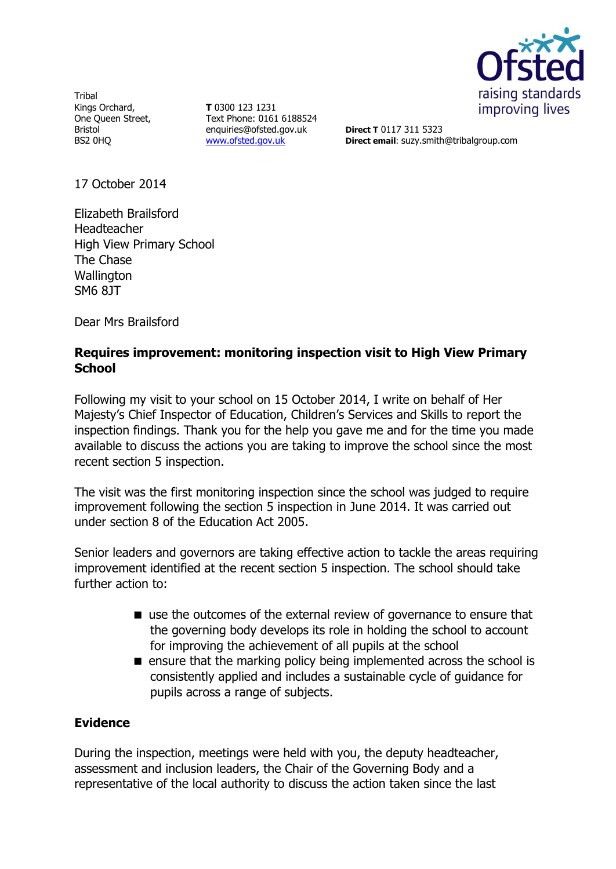

Tribal Kings Orchard, One Queen Street, Bristol BS2 0HQ

**T** 0300 123 1231 Text Phone: 0161 6188524 enquiries@ofsted.gov.uk [www.ofsted.gov.uk](http://www.ofsted.gov.uk/)

**Direct T** 0117 311 5323 **Direct email**: suzy.smith@tribalgroup.com

17 October 2014

Elizabeth Brailsford Headteacher High View Primary School The Chase **Wallington** SM6 8JT

Dear Mrs Brailsford

### **Requires improvement: monitoring inspection visit to High View Primary School**

Following my visit to your school on 15 October 2014, I write on behalf of Her Majesty's Chief Inspector of Education, Children's Services and Skills to report the inspection findings. Thank you for the help you gave me and for the time you made available to discuss the actions you are taking to improve the school since the most recent section 5 inspection.

The visit was the first monitoring inspection since the school was judged to require improvement following the section 5 inspection in June 2014. It was carried out under section 8 of the Education Act 2005.

Senior leaders and governors are taking effective action to tackle the areas requiring improvement identified at the recent section 5 inspection. The school should take further action to:

- use the outcomes of the external review of governance to ensure that the governing body develops its role in holding the school to account for improving the achievement of all pupils at the school
- $\blacksquare$  ensure that the marking policy being implemented across the school is consistently applied and includes a sustainable cycle of guidance for pupils across a range of subjects.

# **Evidence**

During the inspection, meetings were held with you, the deputy headteacher, assessment and inclusion leaders, the Chair of the Governing Body and a representative of the local authority to discuss the action taken since the last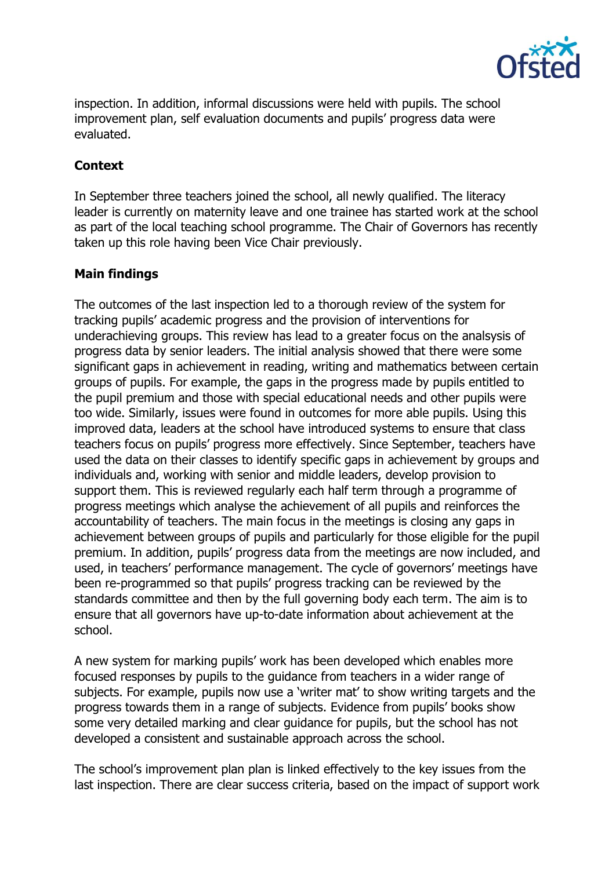

inspection. In addition, informal discussions were held with pupils. The school improvement plan, self evaluation documents and pupils' progress data were evaluated.

# **Context**

In September three teachers joined the school, all newly qualified. The literacy leader is currently on maternity leave and one trainee has started work at the school as part of the local teaching school programme. The Chair of Governors has recently taken up this role having been Vice Chair previously.

#### **Main findings**

The outcomes of the last inspection led to a thorough review of the system for tracking pupils' academic progress and the provision of interventions for underachieving groups. This review has lead to a greater focus on the analsysis of progress data by senior leaders. The initial analysis showed that there were some significant gaps in achievement in reading, writing and mathematics between certain groups of pupils. For example, the gaps in the progress made by pupils entitled to the pupil premium and those with special educational needs and other pupils were too wide. Similarly, issues were found in outcomes for more able pupils. Using this improved data, leaders at the school have introduced systems to ensure that class teachers focus on pupils' progress more effectively. Since September, teachers have used the data on their classes to identify specific gaps in achievement by groups and individuals and, working with senior and middle leaders, develop provision to support them. This is reviewed regularly each half term through a programme of progress meetings which analyse the achievement of all pupils and reinforces the accountability of teachers. The main focus in the meetings is closing any gaps in achievement between groups of pupils and particularly for those eligible for the pupil premium. In addition, pupils' progress data from the meetings are now included, and used, in teachers' performance management. The cycle of governors' meetings have been re-programmed so that pupils' progress tracking can be reviewed by the standards committee and then by the full governing body each term. The aim is to ensure that all governors have up-to-date information about achievement at the school.

A new system for marking pupils' work has been developed which enables more focused responses by pupils to the guidance from teachers in a wider range of subjects. For example, pupils now use a 'writer mat' to show writing targets and the progress towards them in a range of subjects. Evidence from pupils' books show some very detailed marking and clear guidance for pupils, but the school has not developed a consistent and sustainable approach across the school.

The school's improvement plan plan is linked effectively to the key issues from the last inspection. There are clear success criteria, based on the impact of support work